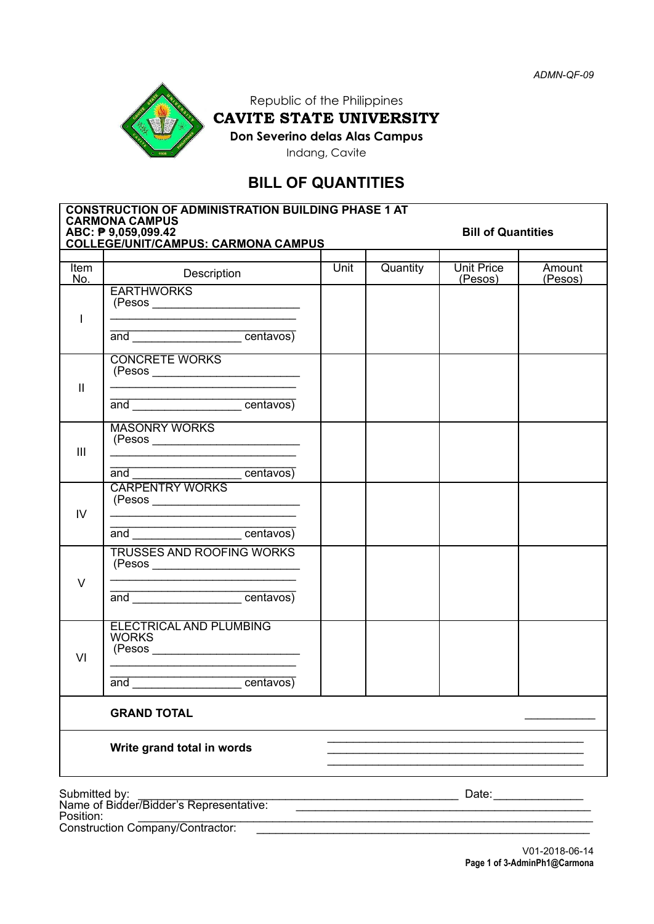

# Republic of the Philippines CAVITE STATE UNIVERSITY **Don Severino delas Alas Campus**

Indang, Cavite

# **BILL OF QUANTITIES**

| <b>CONSTRUCTION OF ADMINISTRATION BUILDING PHASE 1 AT</b><br><b>CARMONA CAMPUS</b> |                                                                                                                                                      |      |                           |            |         |  |
|------------------------------------------------------------------------------------|------------------------------------------------------------------------------------------------------------------------------------------------------|------|---------------------------|------------|---------|--|
| ABC: ₱ 9,059,099.42<br><b>COLLEGE/UNIT/CAMPUS: CARMONA CAMPUS</b>                  |                                                                                                                                                      |      | <b>Bill of Quantities</b> |            |         |  |
| Item                                                                               | Description                                                                                                                                          | Unit | Quantity                  | Unit Price | Amount  |  |
| No.<br>$\overline{\phantom{a}}$                                                    | <b>EARTHWORKS</b>                                                                                                                                    |      |                           | (Pesos)    | (Pesos) |  |
|                                                                                    | and _______________________centavos)                                                                                                                 |      |                           |            |         |  |
| $\mathbf{II}$                                                                      | <b>CONCRETE WORKS</b><br><u> 1989 - Johann Harry Harry Harry Harry Harry Harry Harry Harry Harry Harry Harry Harry Harry Harry Harry Harry</u>       |      |                           |            |         |  |
|                                                                                    | and <u>example and</u> centavos)                                                                                                                     |      |                           |            |         |  |
| $\mathbf{III}$                                                                     | <b>MASONRY WORKS</b>                                                                                                                                 |      |                           |            |         |  |
| IV.                                                                                | and <u>example and</u> centavos)<br><b>CARPENTRY WORKS</b>                                                                                           |      |                           |            |         |  |
|                                                                                    | <u> 1989 - Johann John Stone, mars et al. 1989 - John Stone, mars et al. 1989 - John Stone, mars et al. 1989 - John Stone</u><br>and <u>centavos</u> |      |                           |            |         |  |
| $\vee$                                                                             | <b>TRUSSES AND ROOFING WORKS</b>                                                                                                                     |      |                           |            |         |  |
|                                                                                    | and _______________________centavos)                                                                                                                 |      |                           |            |         |  |
| VI                                                                                 | <b>ELECTRICAL AND PLUMBING</b><br><b>WORKS</b>                                                                                                       |      |                           |            |         |  |
|                                                                                    | and ____________________centavos)                                                                                                                    |      |                           |            |         |  |
|                                                                                    | <b>GRAND TOTAL</b>                                                                                                                                   |      |                           |            |         |  |
|                                                                                    | Write grand total in words                                                                                                                           |      |                           |            |         |  |
| Submitted by:<br>Name of Bidder/Bidder's Representative:                           |                                                                                                                                                      |      | Date:                     |            |         |  |
| Position:                                                                          | <b>Construction Company/Contractor:</b>                                                                                                              |      |                           |            |         |  |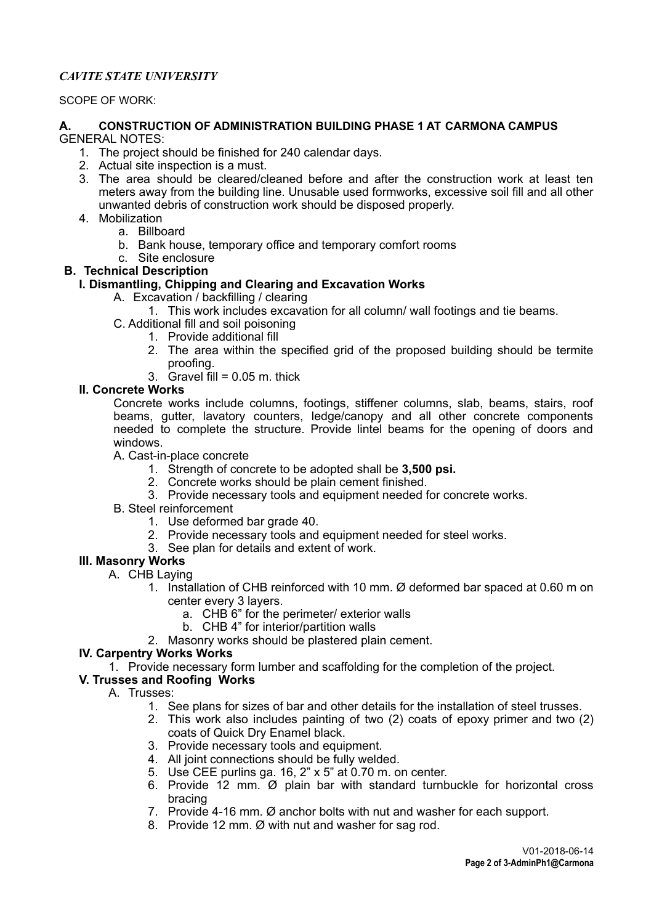## *CAVITE STATE UNIVERSITY*

#### SCOPE OF WORK:

#### **A. CONSTRUCTION OF ADMINISTRATION BUILDING PHASE 1 AT CARMONA CAMPUS** GENERAL NOTES:

- 1. The project should be finished for 240 calendar days.
- 2. Actual site inspection is a must.
- 3. The area should be cleared/cleaned before and after the construction work at least ten meters away from the building line. Unusable used formworks, excessive soil fill and all other unwanted debris of construction work should be disposed properly.
- 4. Mobilization
	- a. Billboard
	- b. Bank house, temporary office and temporary comfort rooms
	- c. Site enclosure

## **B. Technical Description**

## **I. Dismantling, Chipping and Clearing and Excavation Works**

- A. Excavation / backfilling / clearing
	- 1. This work includes excavation for all column/ wall footings and tie beams.
- C. Additional fill and soil poisoning
	- 1. Provide additional fill
	- 2. The area within the specified grid of the proposed building should be termite proofing.
	- $3.$  Gravel fill =  $0.05$  m. thick

### **II. Concrete Works**

Concrete works include columns, footings, stiffener columns, slab, beams, stairs, roof beams, gutter, lavatory counters, ledge/canopy and all other concrete components needed to complete the structure. Provide lintel beams for the opening of doors and windows.

A. Cast-in-place concrete

- 1. Strength of concrete to be adopted shall be **3,500 psi.**
- 2. Concrete works should be plain cement finished.
- 3. Provide necessary tools and equipment needed for concrete works.
- B. Steel reinforcement
	- 1. Use deformed bar grade 40.
	- 2. Provide necessary tools and equipment needed for steel works.
	- 3. See plan for details and extent of work.

# **III. Masonry Works**

- A. CHB Laying
	- 1. Installation of CHB reinforced with 10 mm. Ø deformed bar spaced at 0.60 m on center every 3 layers.
		- a. CHB 6" for the perimeter/ exterior walls
		- b. CHB 4" for interior/partition walls
	- 2. Masonry works should be plastered plain cement.

#### **IV. Carpentry Works Works**

1. Provide necessary form lumber and scaffolding for the completion of the project.

### **V. Trusses and Roofing Works**

- A. Trusses:
	- 1. See plans for sizes of bar and other details for the installation of steel trusses.
	- 2. This work also includes painting of two (2) coats of epoxy primer and two (2) coats of Quick Dry Enamel black.
	- 3. Provide necessary tools and equipment.
	- 4. All joint connections should be fully welded.
	- 5. Use CEE purlins ga. 16, 2" x 5" at 0.70 m. on center.
	- 6. Provide 12 mm. Ø plain bar with standard turnbuckle for horizontal cross bracing
	- 7. Provide 4-16 mm. Ø anchor bolts with nut and washer for each support.
	- 8. Provide 12 mm. Ø with nut and washer for sag rod.